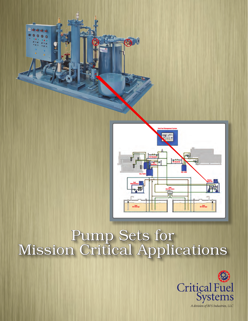



# Pump Sets for Mission Critical Applications

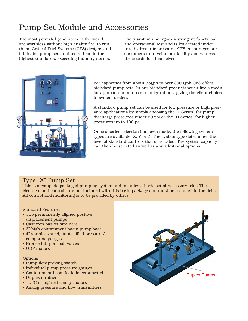# Pump Set Module and Accessories

The most powerful generators in the world are worthless without high quality fuel to run them. Critical Fuel Systems (CFS) designs and fabricates pump sets and tests them to the highest standards, exceeding industry norms.

Every system undergoes a stringent functional and operational test and is leak tested under true hydrostatic pressure. CFS encourages our customers to travel to our facility and witness these tests for themselves.



For capacities from about 35gph to over 3000gph CFS offers standard pump sets. In our standard products we utilize a modular approach to pump set configurations, giving the client choices in system design.

A standard pump set can be sized for low pressure or high pressure applications by simply choosing the "L Series" for pump discharge pressures under 50 psi or the "H Series" for higher pressures up to 100 psi.

Once a series selection has been made, the following system types are available: X, Y or Z. The system type determines the level of standard controls that's included. The system capacity can then be selected as well as any additional options.

#### Type "X" Pump Set

This is a complete packaged pumping system and includes a basic set of necessary trim. The electrical and controls are not included with this basic package and must be installed in the field. All control and monitoring is to be provided by others.

#### Standard Features

- Two permanently aligned positive displacement pumps
- Cast iron basket strainers
- 3" high containment basin pump base
- 4" stainless steel, liquid-filled pressure/ compound gauges
- Bronze full-port ball valves
- ODP motors

#### **Options**

- Pump flow proving switch
- Individual pump pressure gauges
- Containment basin leak detector switch
- Duplex strainer
- TEFC or high efficiency motors
- Analog pressure and flow transmitters

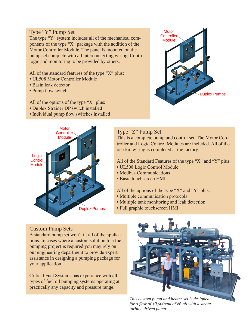#### Type "Y" Pump Set

The type "Y" system includes all of the mechanical components of the type "X" package with the addition of the Motor Controller Module. The panel is mounted on the pump set complete with all interconnecting wiring. Control logic and monitoring to be provided by others.

All of the standard features of the type "X" plus:

- UL508 Motor Controller Module
- Basin leak detector
- Pump flow switch

All of the options of the type "X" plus:

- Duplex Strainer DP switch installed
- Individual pump flow switches installed



## Type "Z" Pump Set

This is a complete pump and control set. The Motor Controller and Logic Control Modules are included. All of the on-skid wiring is completed at the factory.

All of the Standard Features of the type "X" and "Y" plus:

- UL508 Logic Control Module
- Modbus Communications
- Basic touchscreen HMI

All of the options of the type "X" and "Y" plus:

- Multiple communication protocols
- Multiple tank monitoring and leak detection
- Full graphic touchscreen HMI

#### Custom Pump Sets

A standard pump set won't fit all of the applications. In cases where a custom solution to a fuel pumping project is required you may rely on our engineering department to provide expert assistance in designing a pumping package for your application.

Critical Fuel Systems has experience with all types of fuel oil pumping systems operating at practically any capacity and pressure range.



*This custom pump and heater set is designed for a flow of 10,000gph of #6 oil with a steam turbine driven pump.*